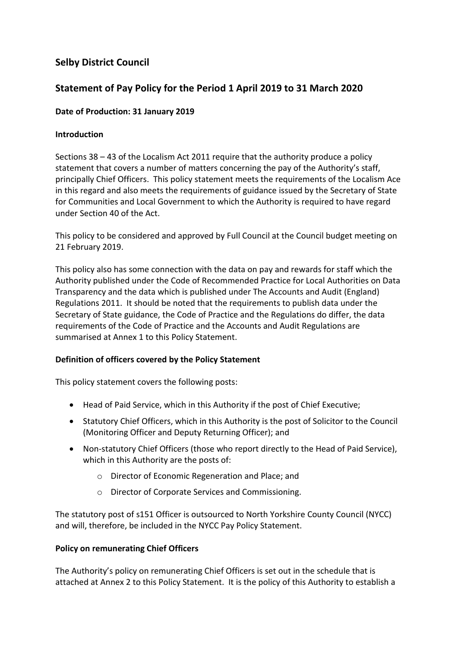## **Selby District Council**

## **Statement of Pay Policy for the Period 1 April 2019 to 31 March 2020**

## **Date of Production: 31 January 2019**

## **Introduction**

Sections 38 – 43 of the Localism Act 2011 require that the authority produce a policy statement that covers a number of matters concerning the pay of the Authority's staff, principally Chief Officers. This policy statement meets the requirements of the Localism Ace in this regard and also meets the requirements of guidance issued by the Secretary of State for Communities and Local Government to which the Authority is required to have regard under Section 40 of the Act.

This policy to be considered and approved by Full Council at the Council budget meeting on 21 February 2019.

This policy also has some connection with the data on pay and rewards for staff which the Authority published under the Code of Recommended Practice for Local Authorities on Data Transparency and the data which is published under The Accounts and Audit (England) Regulations 2011. It should be noted that the requirements to publish data under the Secretary of State guidance, the Code of Practice and the Regulations do differ, the data requirements of the Code of Practice and the Accounts and Audit Regulations are summarised at Annex 1 to this Policy Statement.

## **Definition of officers covered by the Policy Statement**

This policy statement covers the following posts:

- Head of Paid Service, which in this Authority if the post of Chief Executive;
- Statutory Chief Officers, which in this Authority is the post of Solicitor to the Council (Monitoring Officer and Deputy Returning Officer); and
- Non-statutory Chief Officers (those who report directly to the Head of Paid Service), which in this Authority are the posts of:
	- o Director of Economic Regeneration and Place; and
	- o Director of Corporate Services and Commissioning.

The statutory post of s151 Officer is outsourced to North Yorkshire County Council (NYCC) and will, therefore, be included in the NYCC Pay Policy Statement.

## **Policy on remunerating Chief Officers**

The Authority's policy on remunerating Chief Officers is set out in the schedule that is attached at Annex 2 to this Policy Statement. It is the policy of this Authority to establish a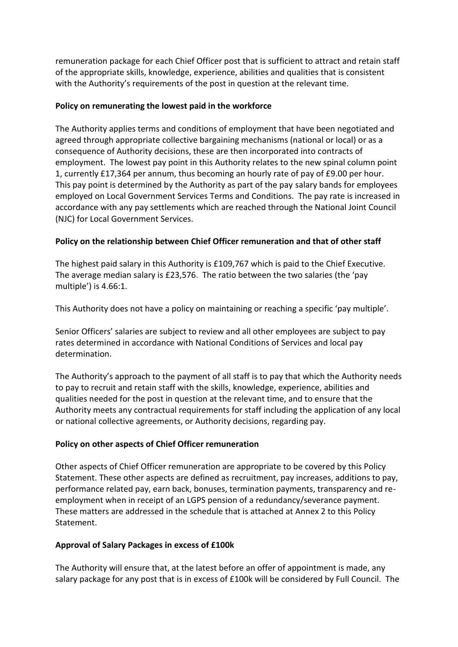remuneration package for each Chief Officer post that is sufficient to attract and retain staff of the appropriate skills, knowledge, experience, abilities and qualities that is consistent with the Authority's requirements of the post in question at the relevant time.

## **Policy on remunerating the lowest paid in the workforce**

The Authority applies terms and conditions of employment that have been negotiated and agreed through appropriate collective bargaining mechanisms (national or local) or as a consequence of Authority decisions, these are then incorporated into contracts of employment. The lowest pay point in this Authority relates to the new spinal column point 1, currently £17,364 per annum, thus becoming an hourly rate of pay of £9.00 per hour. This pay point is determined by the Authority as part of the pay salary bands for employees employed on Local Government Services Terms and Conditions. The pay rate is increased in accordance with any pay settlements which are reached through the National Joint Council (NJC) for Local Government Services.

## **Policy on the relationship between Chief Officer remuneration and that of other staff**

The highest paid salary in this Authority is £109,767 which is paid to the Chief Executive. The average median salary is £23,576. The ratio between the two salaries (the 'pay multiple') is 4.66:1.

This Authority does not have a policy on maintaining or reaching a specific 'pay multiple'.

Senior Officers' salaries are subject to review and all other employees are subject to pay rates determined in accordance with National Conditions of Services and local pay determination.

The Authority's approach to the payment of all staff is to pay that which the Authority needs to pay to recruit and retain staff with the skills, knowledge, experience, abilities and qualities needed for the post in question at the relevant time, and to ensure that the Authority meets any contractual requirements for staff including the application of any local or national collective agreements, or Authority decisions, regarding pay.

## **Policy on other aspects of Chief Officer remuneration**

Other aspects of Chief Officer remuneration are appropriate to be covered by this Policy Statement. These other aspects are defined as recruitment, pay increases, additions to pay, performance related pay, earn back, bonuses, termination payments, transparency and reemployment when in receipt of an LGPS pension of a redundancy/severance payment. These matters are addressed in the schedule that is attached at Annex 2 to this Policy **Statement** 

## **Approval of Salary Packages in excess of £100k**

The Authority will ensure that, at the latest before an offer of appointment is made, any salary package for any post that is in excess of £100k will be considered by Full Council. The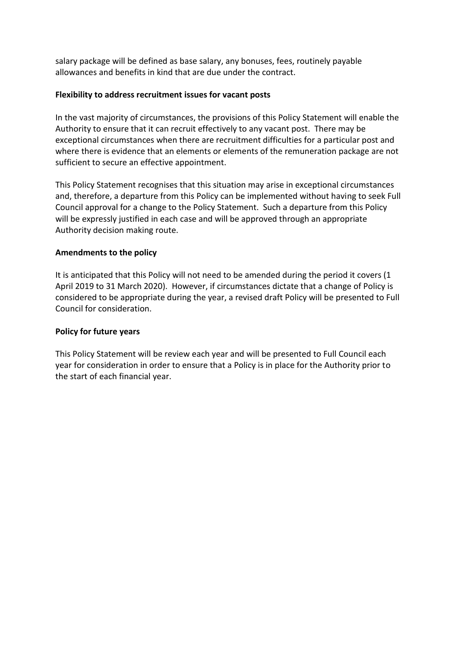salary package will be defined as base salary, any bonuses, fees, routinely payable allowances and benefits in kind that are due under the contract.

### **Flexibility to address recruitment issues for vacant posts**

In the vast majority of circumstances, the provisions of this Policy Statement will enable the Authority to ensure that it can recruit effectively to any vacant post. There may be exceptional circumstances when there are recruitment difficulties for a particular post and where there is evidence that an elements or elements of the remuneration package are not sufficient to secure an effective appointment.

This Policy Statement recognises that this situation may arise in exceptional circumstances and, therefore, a departure from this Policy can be implemented without having to seek Full Council approval for a change to the Policy Statement. Such a departure from this Policy will be expressly justified in each case and will be approved through an appropriate Authority decision making route.

### **Amendments to the policy**

It is anticipated that this Policy will not need to be amended during the period it covers (1 April 2019 to 31 March 2020). However, if circumstances dictate that a change of Policy is considered to be appropriate during the year, a revised draft Policy will be presented to Full Council for consideration.

#### **Policy for future years**

This Policy Statement will be review each year and will be presented to Full Council each year for consideration in order to ensure that a Policy is in place for the Authority prior to the start of each financial year.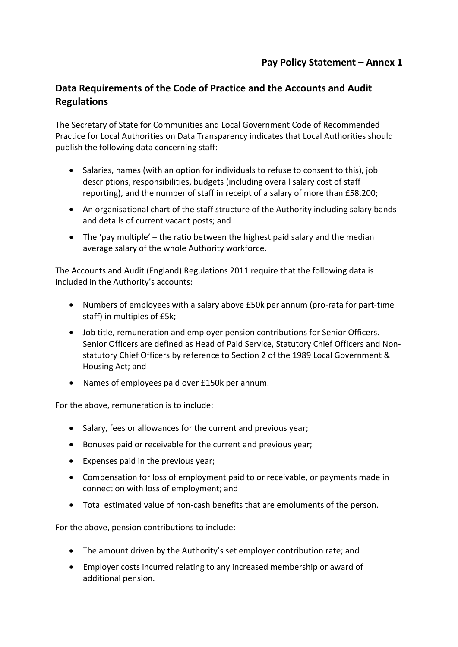## **Data Requirements of the Code of Practice and the Accounts and Audit Regulations**

The Secretary of State for Communities and Local Government Code of Recommended Practice for Local Authorities on Data Transparency indicates that Local Authorities should publish the following data concerning staff:

- Salaries, names (with an option for individuals to refuse to consent to this), job descriptions, responsibilities, budgets (including overall salary cost of staff reporting), and the number of staff in receipt of a salary of more than £58,200;
- An organisational chart of the staff structure of the Authority including salary bands and details of current vacant posts; and
- $\bullet$  The 'pay multiple' the ratio between the highest paid salary and the median average salary of the whole Authority workforce.

The Accounts and Audit (England) Regulations 2011 require that the following data is included in the Authority's accounts:

- Numbers of employees with a salary above £50k per annum (pro-rata for part-time staff) in multiples of £5k;
- Job title, remuneration and employer pension contributions for Senior Officers. Senior Officers are defined as Head of Paid Service, Statutory Chief Officers and Nonstatutory Chief Officers by reference to Section 2 of the 1989 Local Government & Housing Act; and
- Names of employees paid over £150k per annum.

For the above, remuneration is to include:

- Salary, fees or allowances for the current and previous year;
- Bonuses paid or receivable for the current and previous year;
- Expenses paid in the previous year;
- Compensation for loss of employment paid to or receivable, or payments made in connection with loss of employment; and
- Total estimated value of non-cash benefits that are emoluments of the person.

For the above, pension contributions to include:

- The amount driven by the Authority's set employer contribution rate; and
- Employer costs incurred relating to any increased membership or award of additional pension.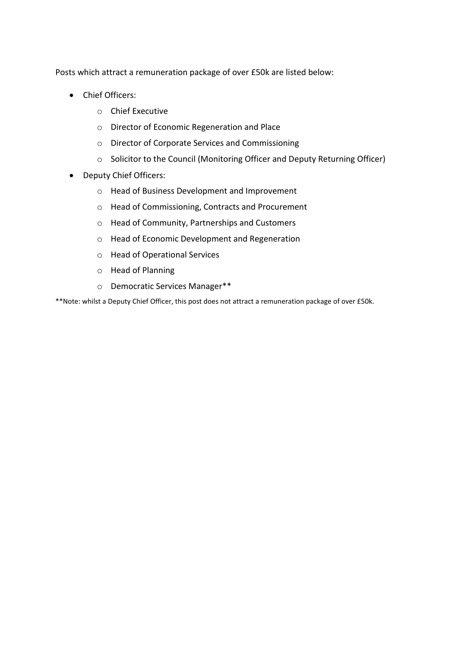Posts which attract a remuneration package of over £50k are listed below:

- Chief Officers:
	- o Chief Executive
	- o Director of Economic Regeneration and Place
	- o Director of Corporate Services and Commissioning
	- o Solicitor to the Council (Monitoring Officer and Deputy Returning Officer)
- Deputy Chief Officers:
	- o Head of Business Development and Improvement
	- o Head of Commissioning, Contracts and Procurement
	- o Head of Community, Partnerships and Customers
	- o Head of Economic Development and Regeneration
	- o Head of Operational Services
	- o Head of Planning
	- o Democratic Services Manager\*\*

\*\*Note: whilst a Deputy Chief Officer, this post does not attract a remuneration package of over £50k.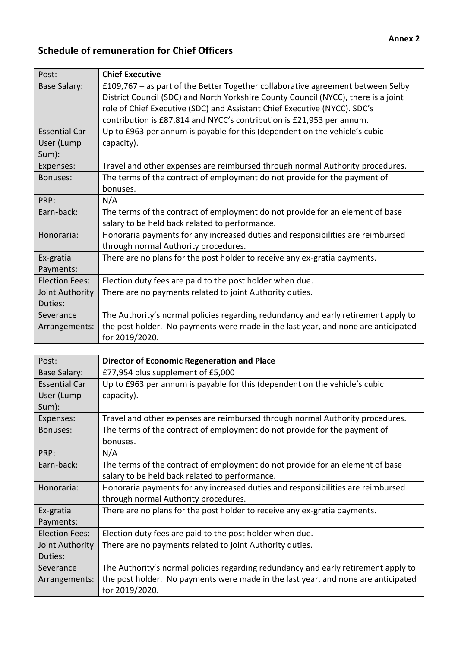# **Schedule of remuneration for Chief Officers**

| Post:                 | <b>Chief Executive</b>                                                             |
|-----------------------|------------------------------------------------------------------------------------|
| <b>Base Salary:</b>   | £109,767 – as part of the Better Together collaborative agreement between Selby    |
|                       | District Council (SDC) and North Yorkshire County Council (NYCC), there is a joint |
|                       | role of Chief Executive (SDC) and Assistant Chief Executive (NYCC). SDC's          |
|                       | contribution is £87,814 and NYCC's contribution is £21,953 per annum.              |
| <b>Essential Car</b>  | Up to £963 per annum is payable for this (dependent on the vehicle's cubic         |
| User (Lump            | capacity).                                                                         |
| Sum):                 |                                                                                    |
| Expenses:             | Travel and other expenses are reimbursed through normal Authority procedures.      |
| Bonuses:              | The terms of the contract of employment do not provide for the payment of          |
|                       | bonuses.                                                                           |
| PRP:                  | N/A                                                                                |
| Earn-back:            | The terms of the contract of employment do not provide for an element of base      |
|                       | salary to be held back related to performance.                                     |
| Honoraria:            | Honoraria payments for any increased duties and responsibilities are reimbursed    |
|                       | through normal Authority procedures.                                               |
| Ex-gratia             | There are no plans for the post holder to receive any ex-gratia payments.          |
| Payments:             |                                                                                    |
| <b>Election Fees:</b> | Election duty fees are paid to the post holder when due.                           |
| Joint Authority       | There are no payments related to joint Authority duties.                           |
| Duties:               |                                                                                    |
| Severance             | The Authority's normal policies regarding redundancy and early retirement apply to |
| Arrangements:         | the post holder. No payments were made in the last year, and none are anticipated  |
|                       | for 2019/2020.                                                                     |

| Post:                 | <b>Director of Economic Regeneration and Place</b>                                 |
|-----------------------|------------------------------------------------------------------------------------|
| Base Salary:          | £77,954 plus supplement of £5,000                                                  |
| <b>Essential Car</b>  | Up to £963 per annum is payable for this (dependent on the vehicle's cubic         |
| User (Lump            | capacity).                                                                         |
| Sum):                 |                                                                                    |
| Expenses:             | Travel and other expenses are reimbursed through normal Authority procedures.      |
| Bonuses:              | The terms of the contract of employment do not provide for the payment of          |
|                       | bonuses.                                                                           |
| PRP:                  | N/A                                                                                |
| Earn-back:            | The terms of the contract of employment do not provide for an element of base      |
|                       | salary to be held back related to performance.                                     |
| Honoraria:            | Honoraria payments for any increased duties and responsibilities are reimbursed    |
|                       | through normal Authority procedures.                                               |
| Ex-gratia             | There are no plans for the post holder to receive any ex-gratia payments.          |
| Payments:             |                                                                                    |
| <b>Election Fees:</b> | Election duty fees are paid to the post holder when due.                           |
| Joint Authority       | There are no payments related to joint Authority duties.                           |
| Duties:               |                                                                                    |
| Severance             | The Authority's normal policies regarding redundancy and early retirement apply to |
| Arrangements:         | the post holder. No payments were made in the last year, and none are anticipated  |
|                       | for 2019/2020.                                                                     |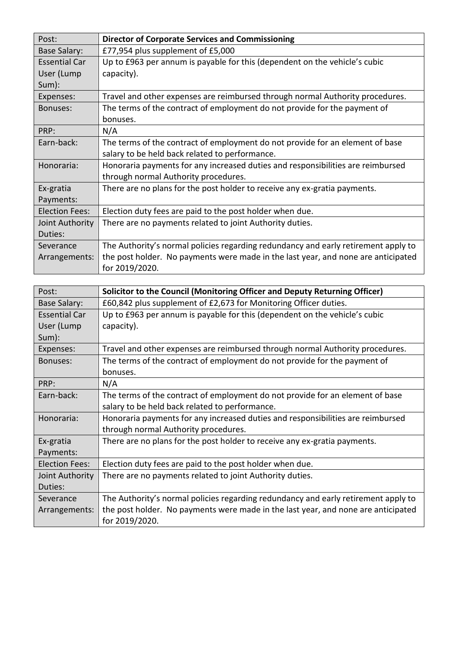| Post:                 | <b>Director of Corporate Services and Commissioning</b>                            |
|-----------------------|------------------------------------------------------------------------------------|
| <b>Base Salary:</b>   | £77,954 plus supplement of £5,000                                                  |
| <b>Essential Car</b>  | Up to £963 per annum is payable for this (dependent on the vehicle's cubic         |
| User (Lump            | capacity).                                                                         |
| Sum):                 |                                                                                    |
| Expenses:             | Travel and other expenses are reimbursed through normal Authority procedures.      |
| Bonuses:              | The terms of the contract of employment do not provide for the payment of          |
|                       | bonuses.                                                                           |
| PRP:                  | N/A                                                                                |
| Earn-back:            | The terms of the contract of employment do not provide for an element of base      |
|                       | salary to be held back related to performance.                                     |
| Honoraria:            | Honoraria payments for any increased duties and responsibilities are reimbursed    |
|                       | through normal Authority procedures.                                               |
| Ex-gratia             | There are no plans for the post holder to receive any ex-gratia payments.          |
| Payments:             |                                                                                    |
| <b>Election Fees:</b> | Election duty fees are paid to the post holder when due.                           |
| Joint Authority       | There are no payments related to joint Authority duties.                           |
| Duties:               |                                                                                    |
| Severance             | The Authority's normal policies regarding redundancy and early retirement apply to |
| Arrangements:         | the post holder. No payments were made in the last year, and none are anticipated  |
|                       | for 2019/2020.                                                                     |

| Post:                 | Solicitor to the Council (Monitoring Officer and Deputy Returning Officer)         |
|-----------------------|------------------------------------------------------------------------------------|
| <b>Base Salary:</b>   | £60,842 plus supplement of £2,673 for Monitoring Officer duties.                   |
| <b>Essential Car</b>  | Up to £963 per annum is payable for this (dependent on the vehicle's cubic         |
| User (Lump            | capacity).                                                                         |
| Sum):                 |                                                                                    |
| Expenses:             | Travel and other expenses are reimbursed through normal Authority procedures.      |
| Bonuses:              | The terms of the contract of employment do not provide for the payment of          |
|                       | bonuses.                                                                           |
| PRP:                  | N/A                                                                                |
| Earn-back:            | The terms of the contract of employment do not provide for an element of base      |
|                       | salary to be held back related to performance.                                     |
| Honoraria:            | Honoraria payments for any increased duties and responsibilities are reimbursed    |
|                       | through normal Authority procedures.                                               |
| Ex-gratia             | There are no plans for the post holder to receive any ex-gratia payments.          |
| Payments:             |                                                                                    |
| <b>Election Fees:</b> | Election duty fees are paid to the post holder when due.                           |
| Joint Authority       | There are no payments related to joint Authority duties.                           |
| Duties:               |                                                                                    |
| Severance             | The Authority's normal policies regarding redundancy and early retirement apply to |
| Arrangements:         | the post holder. No payments were made in the last year, and none are anticipated  |
|                       | for 2019/2020.                                                                     |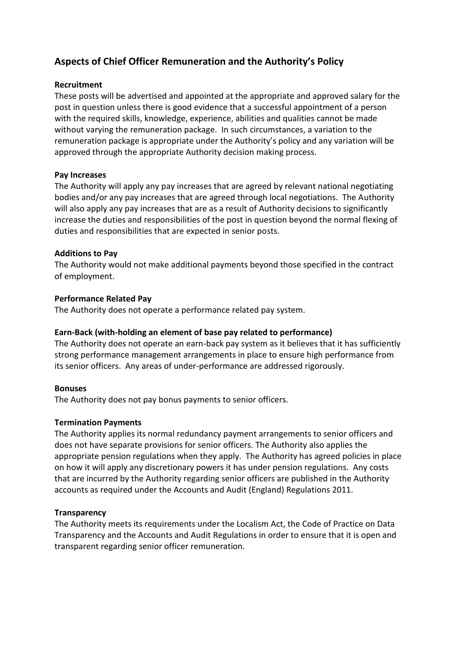## **Aspects of Chief Officer Remuneration and the Authority's Policy**

### **Recruitment**

These posts will be advertised and appointed at the appropriate and approved salary for the post in question unless there is good evidence that a successful appointment of a person with the required skills, knowledge, experience, abilities and qualities cannot be made without varying the remuneration package. In such circumstances, a variation to the remuneration package is appropriate under the Authority's policy and any variation will be approved through the appropriate Authority decision making process.

### **Pay Increases**

The Authority will apply any pay increases that are agreed by relevant national negotiating bodies and/or any pay increases that are agreed through local negotiations. The Authority will also apply any pay increases that are as a result of Authority decisions to significantly increase the duties and responsibilities of the post in question beyond the normal flexing of duties and responsibilities that are expected in senior posts.

### **Additions to Pay**

The Authority would not make additional payments beyond those specified in the contract of employment.

### **Performance Related Pay**

The Authority does not operate a performance related pay system.

## **Earn-Back (with-holding an element of base pay related to performance)**

The Authority does not operate an earn-back pay system as it believes that it has sufficiently strong performance management arrangements in place to ensure high performance from its senior officers. Any areas of under-performance are addressed rigorously.

#### **Bonuses**

The Authority does not pay bonus payments to senior officers.

#### **Termination Payments**

The Authority applies its normal redundancy payment arrangements to senior officers and does not have separate provisions for senior officers. The Authority also applies the appropriate pension regulations when they apply. The Authority has agreed policies in place on how it will apply any discretionary powers it has under pension regulations. Any costs that are incurred by the Authority regarding senior officers are published in the Authority accounts as required under the Accounts and Audit (England) Regulations 2011.

## **Transparency**

The Authority meets its requirements under the Localism Act, the Code of Practice on Data Transparency and the Accounts and Audit Regulations in order to ensure that it is open and transparent regarding senior officer remuneration.